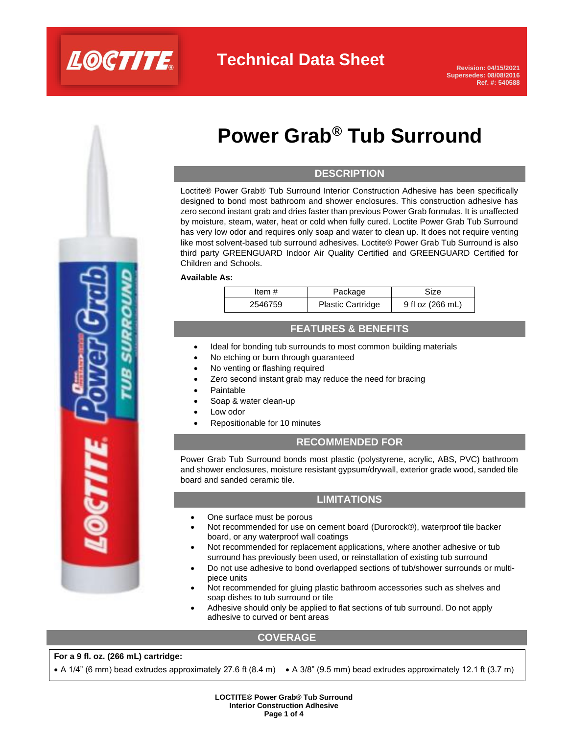

# **Power Grab® Tub Surround**

## **DESCRIPTION**

Loctite® Power Grab® Tub Surround Interior Construction Adhesive has been specifically designed to bond most bathroom and shower enclosures. This construction adhesive has zero second instant grab and dries faster than previous Power Grab formulas. It is unaffected by moisture, steam, water, heat or cold when fully cured. Loctite Power Grab Tub Surround has very low odor and requires only soap and water to clean up. It does not require venting like most solvent-based tub surround adhesives. Loctite® Power Grab Tub Surround is also third party GREENGUARD Indoor Air Quality Certified and GREENGUARD Certified for Children and Schools.

#### **Available As:**

| Item #  | Package                  | Size             |
|---------|--------------------------|------------------|
| 2546759 | <b>Plastic Cartridge</b> | 9 fl oz (266 mL) |

### **FEATURES & BENEFITS**

- Ideal for bonding tub surrounds to most common building materials
- No etching or burn through guaranteed
- No venting or flashing required
- Zero second instant grab may reduce the need for bracing
- **Paintable**
- Soap & water clean-up
- Low odor
- Repositionable for 10 minutes

### **RECOMMENDED FOR**

Power Grab Tub Surround bonds most plastic (polystyrene, acrylic, ABS, PVC) bathroom and shower enclosures, moisture resistant gypsum/drywall, exterior grade wood, sanded tile board and sanded ceramic tile.

### **LIMITATIONS**

- One surface must be porous
- Not recommended for use on cement board (Durorock®), waterproof tile backer board, or any waterproof wall coatings
- Not recommended for replacement applications, where another adhesive or tub surround has previously been used, or reinstallation of existing tub surround
- Do not use adhesive to bond overlapped sections of tub/shower surrounds or multipiece units
- Not recommended for gluing plastic bathroom accessories such as shelves and soap dishes to tub surround or tile
- Adhesive should only be applied to flat sections of tub surround. Do not apply adhesive to curved or bent areas

### **COVERAGE**

### **For a 9 fl. oz. (266 mL) cartridge:**

• A 1/4" (6 mm) bead extrudes approximately 27.6 ft (8.4 m) • A 3/8" (9.5 mm) bead extrudes approximately 12.1 ft (3.7 m)

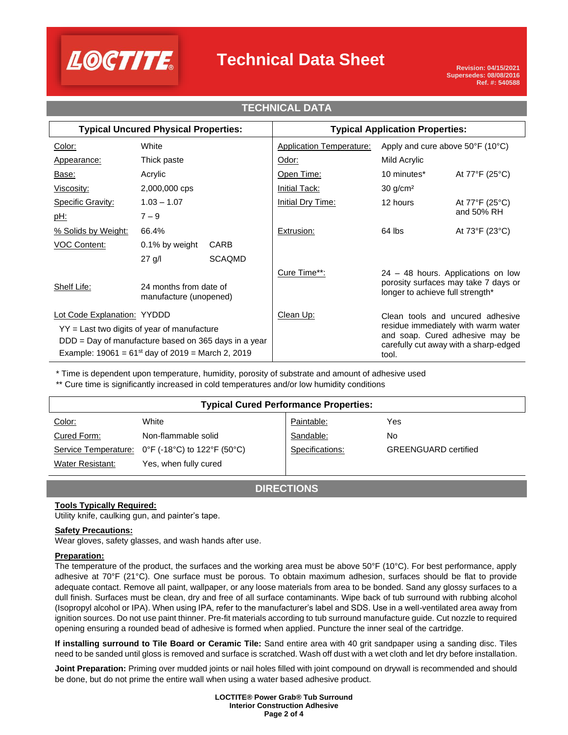

## **Technical Data Sheet**

### **Typical Uncured Physical Properties: Typical Application Properties:** Color: White White Application Temperature: Apply and cure above 50°F (10°C) Appearance: Thick paste **Odor:** Odor: Mild Acrylic Base: Acrylic Acrylic Compared Acrylic Compared At 77°F (25°C) Viscosity: 2,000,000 cps Initial Tack: 30 g/cm<sup>2</sup> Specific Gravity:  $1.03 - 1.07$  | Initial Dry Time: 12 hours At 77°F (25°C)  $\overline{\texttt{pH:}} \qquad \qquad \overline{\qquad \qquad } \qquad \qquad \text{and 50\% RH}$ % Solids by Weight: 66.4% The Research of Extrusion: 64 lbs At 73°F (23°C) VOC Content: 0.1% by weight CARB 27 g/l SCAQMD Cure Time\*\*: 24 – 48 hours. Applications on low porosity surfaces may take 7 days or Shelf Life: 24 months from date of porosity surfaces may take 7.1 and the Shelf Life: manufacture (unopened) Lot Code Explanation: YYDDD Clean Up: Clean tools and uncured adhesive residue immediately with warm water and soap. Cured adhesive may be carefully cut away with a sharp-edged tool. YY = Last two digits of year of manufacture DDD = Day of manufacture based on 365 days in a year Example:  $19061 = 61^{st}$  day of  $2019 =$  March 2, 2019 **TECHNICAL DATA**

\* Time is dependent upon temperature, humidity, porosity of substrate and amount of adhesive used

\*\* Cure time is significantly increased in cold temperatures and/or low humidity conditions

| <b>Typical Cured Performance Properties:</b> |                                                  |                 |                             |  |
|----------------------------------------------|--------------------------------------------------|-----------------|-----------------------------|--|
| Color:                                       | White                                            | Paintable:      | Yes                         |  |
| Cured Form:                                  | Non-flammable solid                              | Sandable:       | No                          |  |
|                                              | Service Temperature: 0°F (-18°C) to 122°F (50°C) | Specifications: | <b>GREENGUARD</b> certified |  |
| Water Resistant:                             | Yes, when fully cured                            |                 |                             |  |

**DIRECTIONS**

### **Tools Typically Required:**

Utility knife, caulking gun, and painter's tape.

### **Safety Precautions:**

Wear gloves, safety glasses, and wash hands after use.

### **Preparation:**

The temperature of the product, the surfaces and the working area must be above 50°F (10°C). For best performance, apply adhesive at 70°F (21°C). One surface must be porous. To obtain maximum adhesion, surfaces should be flat to provide adequate contact. Remove all paint, wallpaper, or any loose materials from area to be bonded. Sand any glossy surfaces to a dull finish. Surfaces must be clean, dry and free of all surface contaminants. Wipe back of tub surround with rubbing alcohol (Isopropyl alcohol or IPA). When using IPA, refer to the manufacturer's label and SDS. Use in a well-ventilated area away from ignition sources. Do not use paint thinner. Pre-fit materials according to tub surround manufacture guide. Cut nozzle to required opening ensuring a rounded bead of adhesive is formed when applied. Puncture the inner seal of the cartridge.

**If installing surround to Tile Board or Ceramic Tile:** Sand entire area with 40 grit sandpaper using a sanding disc. Tiles need to be sanded until gloss is removed and surface is scratched. Wash off dust with a wet cloth and let dry before installation.

**Joint Preparation:** Priming over mudded joints or nail holes filled with joint compound on drywall is recommended and should be done, but do not prime the entire wall when using a water based adhesive product.

> **LOCTITE® Power Grab® Tub Surround Interior Construction Adhesive Page 2 of 4**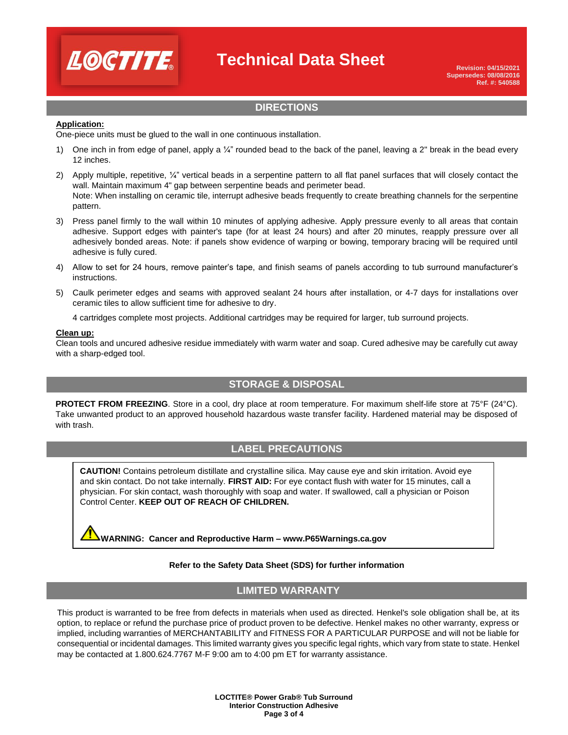

## **Technical Data Sheet**

## **DIRECTIONS**

### **Application:**

One-piece units must be glued to the wall in one continuous installation.

- 1) One inch in from edge of panel, apply a  $\frac{1}{4}$ " rounded bead to the back of the panel, leaving a 2" break in the bead every 12 inches.
- 2) Apply multiple, repetitive,  $\frac{1}{4}$ " vertical beads in a serpentine pattern to all flat panel surfaces that will closely contact the wall. Maintain maximum 4" gap between serpentine beads and perimeter bead. Note: When installing on ceramic tile, interrupt adhesive beads frequently to create breathing channels for the serpentine pattern.
- 3) Press panel firmly to the wall within 10 minutes of applying adhesive. Apply pressure evenly to all areas that contain adhesive. Support edges with painter's tape (for at least 24 hours) and after 20 minutes, reapply pressure over all adhesively bonded areas. Note: if panels show evidence of warping or bowing, temporary bracing will be required until adhesive is fully cured.
- 4) Allow to set for 24 hours, remove painter's tape, and finish seams of panels according to tub surround manufacturer's instructions.
- 5) Caulk perimeter edges and seams with approved sealant 24 hours after installation, or 4-7 days for installations over ceramic tiles to allow sufficient time for adhesive to dry.

4 cartridges complete most projects. Additional cartridges may be required for larger, tub surround projects.

#### **Clean up:**

Clean tools and uncured adhesive residue immediately with warm water and soap. Cured adhesive may be carefully cut away with a sharp-edged tool.

## **STORAGE & DISPOSAL**

**PROTECT FROM FREEZING**. Store in a cool, dry place at room temperature. For maximum shelf-life store at 75°F (24°C). Take unwanted product to an approved household hazardous waste transfer facility. Hardened material may be disposed of with trash.

## **LABEL PRECAUTIONS**

and skin contact. Do not take internally. **FIRST AID:** For eye contact flush with water for 15 minutes, call a physician. For skin contact, wash thoroughly with soap and water. If swallowed, call a physician or Poison Control Center. **KEEP OUT OF REACH OF CHILDREN. CAUTION!** Contains petroleum distillate and crystalline silica. May cause eye and skin irritation. Avoid eye

**WARNING: Cancer and Reproductive Harm – www.P65Warnings.ca.gov**

### **Refer to the Safety Data Sheet (SDS) for further information**

### **LIMITED WARRANTY**

This product is warranted to be free from defects in materials when used as directed. Henkel's sole obligation shall be, at its option, to replace or refund the purchase price of product proven to be defective. Henkel makes no other warranty, express or implied, including warranties of MERCHANTABILITY and FITNESS FOR A PARTICULAR PURPOSE and will not be liable for consequential or incidental damages. This limited warranty gives you specific legal rights, which vary from state to state. Henkel may be contacted at 1.800.624.7767 M-F 9:00 am to 4:00 pm ET for warranty assistance.

> **LOCTITE® Power Grab® Tub Surround Interior Construction Adhesive Page 3 of 4**